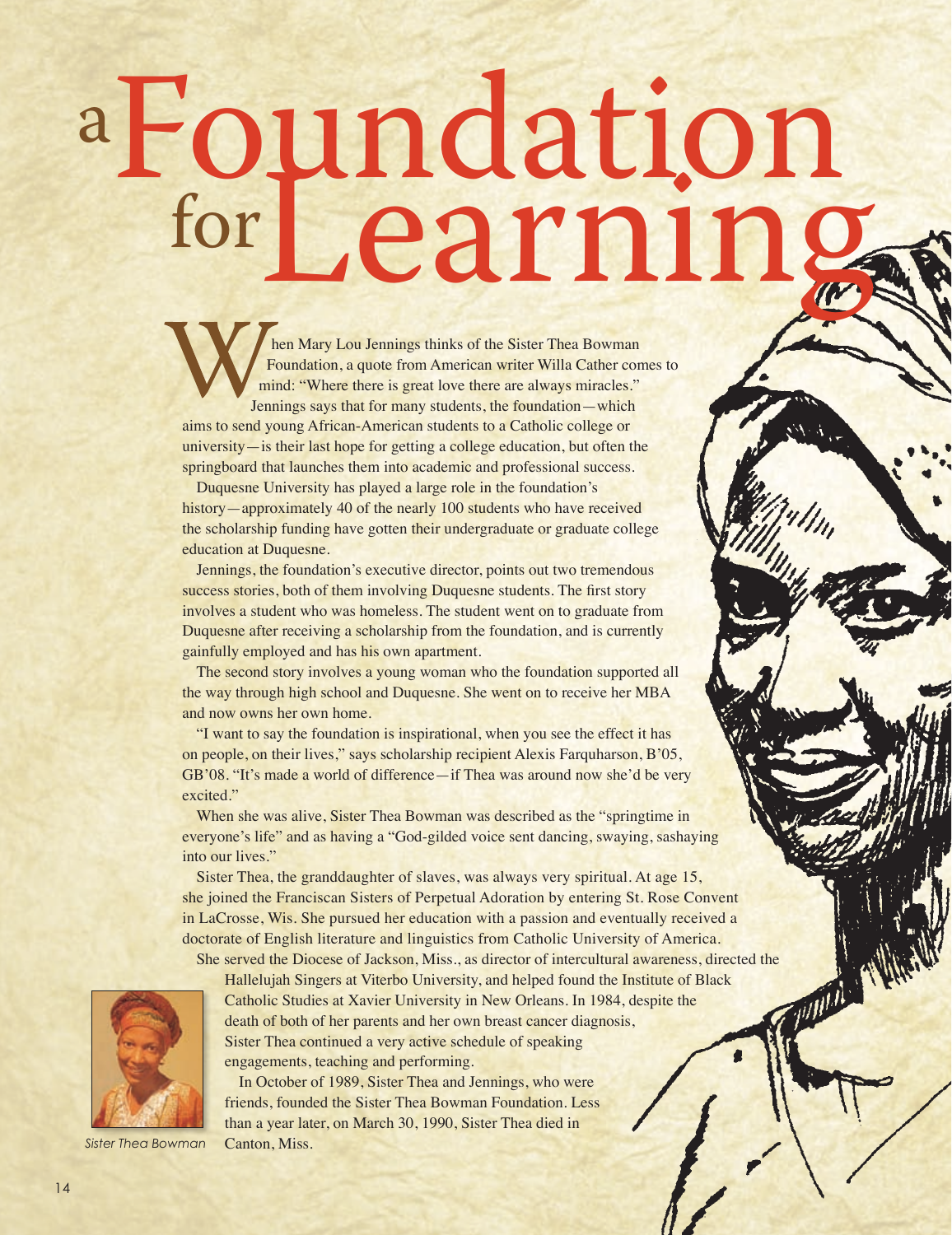## Foundation Learning a for

hen Mary Lou Jennings thinks of the Sister Thea Bowman Foundation, a quote from American writer Willa Cather comes to mind: "Where there is great love there are always miracles." Jennings says that for many students, the foundation—which aims to send young African-American students to a Catholic college or university—is their last hope for getting a college education, but often the springboard that launches them into academic and professional success.

Duquesne University has played a large role in the foundation's history—approximately 40 of the nearly 100 students who have received the scholarship funding have gotten their undergraduate or graduate college education at Duquesne.

Jennings, the foundation's executive director, points out two tremendous success stories, both of them involving Duquesne students. The first story involves a student who was homeless. The student went on to graduate from Duquesne after receiving a scholarship from the foundation, and is currently gainfully employed and has his own apartment.

The second story involves a young woman who the foundation supported all the way through high school and Duquesne. She went on to receive her MBA and now owns her own home.

"I want to say the foundation is inspirational, when you see the effect it has on people, on their lives," says scholarship recipient Alexis Farquharson, B'05, GB'08. "It's made a world of difference—if Thea was around now she'd be very excited."

When she was alive, Sister Thea Bowman was described as the "springtime in everyone's life" and as having a "God-gilded voice sent dancing, swaying, sashaying into our lives."

Sister Thea, the granddaughter of slaves, was always very spiritual. At age 15, she joined the Franciscan Sisters of Perpetual Adoration by entering St. Rose Convent in LaCrosse, Wis. She pursued her education with a passion and eventually received a doctorate of English literature and linguistics from Catholic University of America.

*Sister Thea Bowman*

She served the Diocese of Jackson, Miss., as director of intercultural awareness, directed the Hallelujah Singers at Viterbo University, and helped found the Institute of Black<br>Catholic Studies at Xavier University in New Hallelujah Singers at Viterbo University, and helped found the Institute of Black Catholic Studies at Xavier University in New Orleans. In 1984, despite the death of both of her parents and her own breast cancer diagnosis, Sister Thea continued a very active schedule of speaking engagements, teaching and performing.

In October of 1989, Sister Thea and Jennings, who were friends, founded the Sister Thea Bowman Foundation. Less than a year later, on March 30, 1990, Sister Thea died in Canton, Miss.